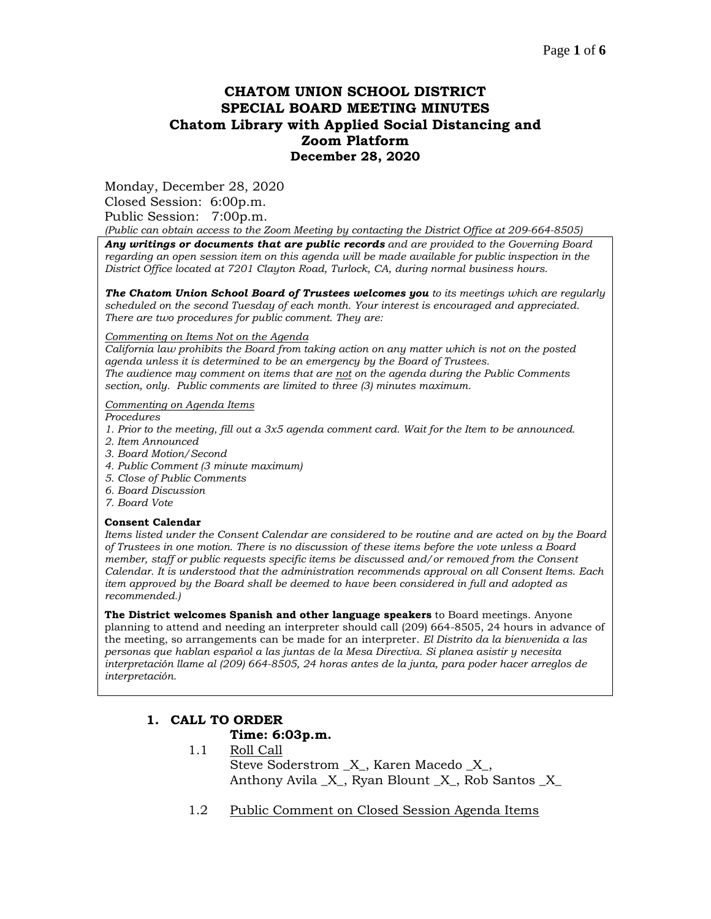# **CHATOM UNION SCHOOL DISTRICT SPECIAL BOARD MEETING MINUTES Chatom Library with Applied Social Distancing and Zoom Platform December 28, 2020**

Monday, December 28, 2020

Closed Session: 6:00p.m. Public Session: 7:00p.m.

*(Public can obtain access to the Zoom Meeting by contacting the District Office at 209-664-8505)*

*Any writings or documents that are public records and are provided to the Governing Board regarding an open session item on this agenda will be made available for public inspection in the District Office located at 7201 Clayton Road, Turlock, CA, during normal business hours.*

*The Chatom Union School Board of Trustees welcomes you to its meetings which are regularly scheduled on the second Tuesday of each month. Your interest is encouraged and appreciated. There are two procedures for public comment. They are:*

#### *Commenting on Items Not on the Agenda*

*California law prohibits the Board from taking action on any matter which is not on the posted agenda unless it is determined to be an emergency by the Board of Trustees. The audience may comment on items that are not on the agenda during the Public Comments section, only. Public comments are limited to three (3) minutes maximum.*

### *Commenting on Agenda Items*

*Procedures* 

- *1. Prior to the meeting, fill out a 3x5 agenda comment card. Wait for the Item to be announced.*
- *2. Item Announced*
- *3. Board Motion/Second*
- *4. Public Comment (3 minute maximum)*
- *5. Close of Public Comments*
- *6. Board Discussion*
- *7. Board Vote*

### **Consent Calendar**

*Items listed under the Consent Calendar are considered to be routine and are acted on by the Board of Trustees in one motion. There is no discussion of these items before the vote unless a Board member, staff or public requests specific items be discussed and/or removed from the Consent Calendar. It is understood that the administration recommends approval on all Consent Items. Each item approved by the Board shall be deemed to have been considered in full and adopted as recommended.)*

**The District welcomes Spanish and other language speakers** to Board meetings. Anyone planning to attend and needing an interpreter should call (209) 664-8505, 24 hours in advance of the meeting, so arrangements can be made for an interpreter. *El Distrito da la bienvenida a las personas que hablan español a las juntas de la Mesa Directiva. Si planea asistir y necesita interpretación llame al (209) 664-8505, 24 horas antes de la junta, para poder hacer arreglos de interpretación.*

## **1. CALL TO ORDER**

### **Time: 6:03p.m.**

- 1.1 Roll Call Steve Soderstrom \_X\_, Karen Macedo \_X\_, Anthony Avila  $X$ , Ryan Blount  $X$ , Rob Santos X
- 1.2 Public Comment on Closed Session Agenda Items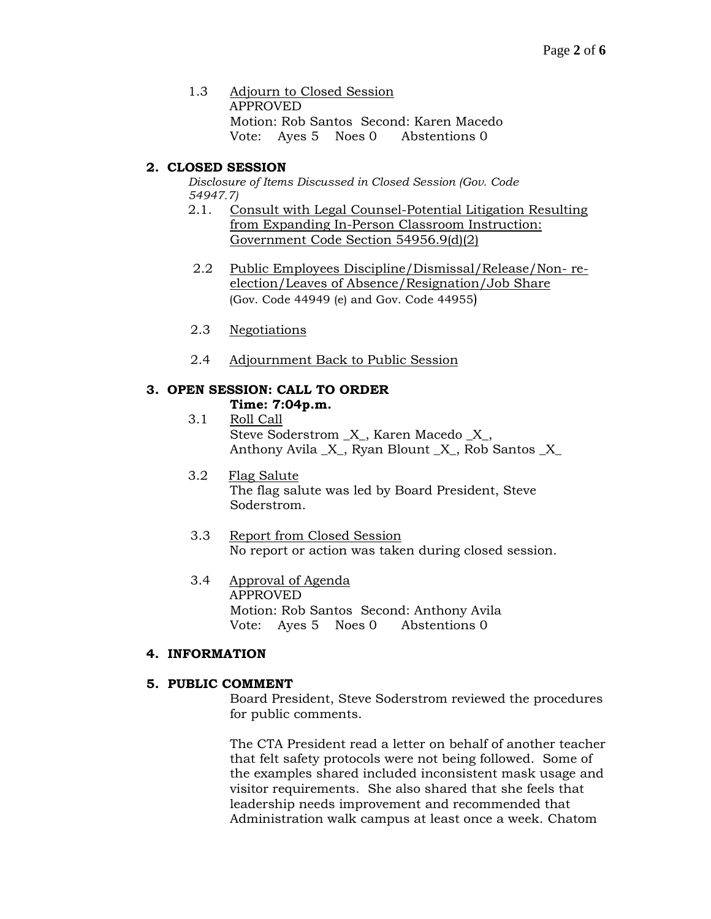1.3 Adjourn to Closed Session APPROVED Motion: Rob Santos Second: Karen Macedo Vote: Ayes 5 Noes 0 Abstentions 0

## **2. CLOSED SESSION**

*Disclosure of Items Discussed in Closed Session (Gov. Code 54947.7)*

- 2.1. Consult with Legal Counsel-Potential Litigation Resulting from Expanding In-Person Classroom Instruction: Government Code Section 54956.9(d)(2)
- 2.2 Public Employees Discipline/Dismissal/Release/Non- reelection/Leaves of Absence/Resignation/Job Share (Gov. Code 44949 (e) and Gov. Code 44955)
- 2.3 Negotiations
- 2.4 Adjournment Back to Public Session

# **3. OPEN SESSION: CALL TO ORDER**

- **Time: 7:04p.m.** 3.1 Roll Call
	- Steve Soderstrom  $X$ , Karen Macedo  $X$ , Anthony Avila \_X\_, Ryan Blount \_X\_, Rob Santos \_X\_
- 3.2 Flag Salute The flag salute was led by Board President, Steve Soderstrom.
- 3.3 Report from Closed Session No report or action was taken during closed session.
- 3.4 Approval of Agenda APPROVED Motion: Rob Santos Second: Anthony Avila Vote: Ayes 5 Noes 0 Abstentions 0

## **4. INFORMATION**

## **5. PUBLIC COMMENT**

Board President, Steve Soderstrom reviewed the procedures for public comments.

The CTA President read a letter on behalf of another teacher that felt safety protocols were not being followed. Some of the examples shared included inconsistent mask usage and visitor requirements. She also shared that she feels that leadership needs improvement and recommended that Administration walk campus at least once a week. Chatom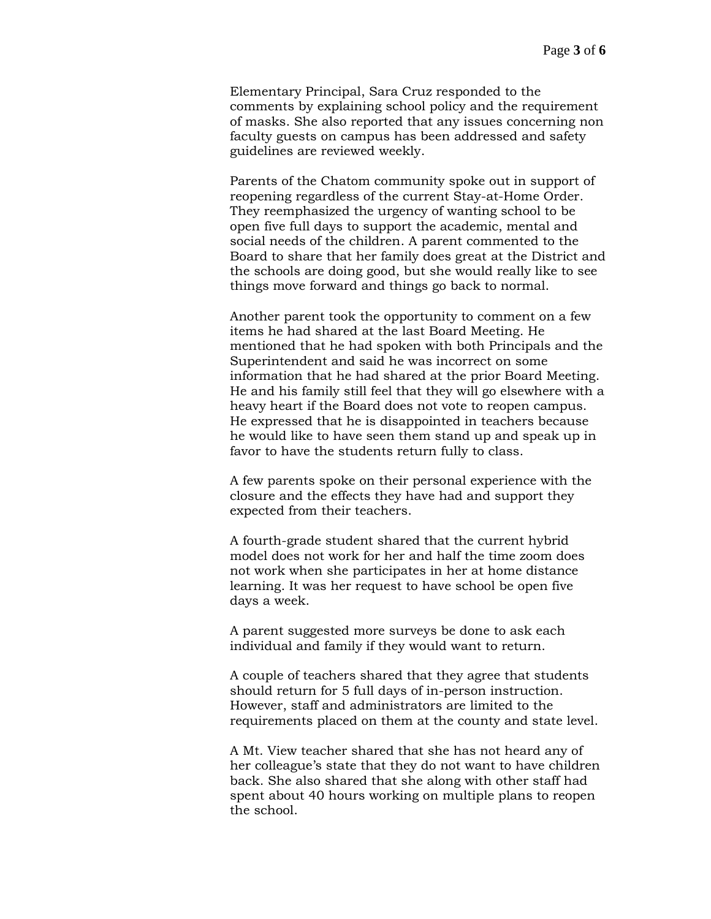Elementary Principal, Sara Cruz responded to the comments by explaining school policy and the requirement of masks. She also reported that any issues concerning non faculty guests on campus has been addressed and safety guidelines are reviewed weekly.

Parents of the Chatom community spoke out in support of reopening regardless of the current Stay-at-Home Order. They reemphasized the urgency of wanting school to be open five full days to support the academic, mental and social needs of the children. A parent commented to the Board to share that her family does great at the District and the schools are doing good, but she would really like to see things move forward and things go back to normal.

Another parent took the opportunity to comment on a few items he had shared at the last Board Meeting. He mentioned that he had spoken with both Principals and the Superintendent and said he was incorrect on some information that he had shared at the prior Board Meeting. He and his family still feel that they will go elsewhere with a heavy heart if the Board does not vote to reopen campus. He expressed that he is disappointed in teachers because he would like to have seen them stand up and speak up in favor to have the students return fully to class.

A few parents spoke on their personal experience with the closure and the effects they have had and support they expected from their teachers.

A fourth-grade student shared that the current hybrid model does not work for her and half the time zoom does not work when she participates in her at home distance learning. It was her request to have school be open five days a week.

A parent suggested more surveys be done to ask each individual and family if they would want to return.

A couple of teachers shared that they agree that students should return for 5 full days of in-person instruction. However, staff and administrators are limited to the requirements placed on them at the county and state level.

A Mt. View teacher shared that she has not heard any of her colleague's state that they do not want to have children back. She also shared that she along with other staff had spent about 40 hours working on multiple plans to reopen the school.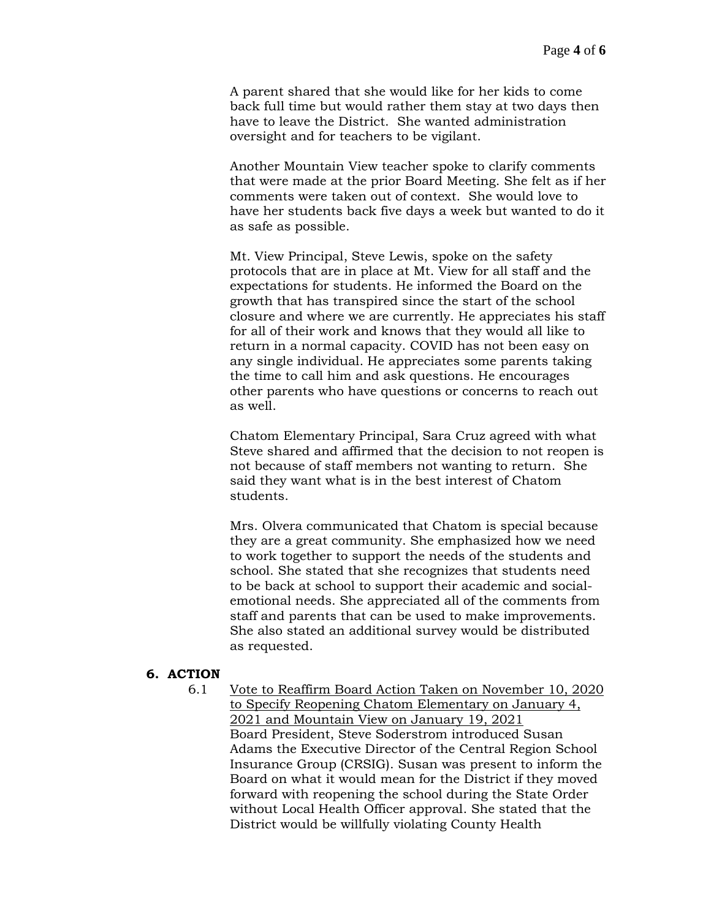A parent shared that she would like for her kids to come back full time but would rather them stay at two days then have to leave the District. She wanted administration oversight and for teachers to be vigilant.

Another Mountain View teacher spoke to clarify comments that were made at the prior Board Meeting. She felt as if her comments were taken out of context. She would love to have her students back five days a week but wanted to do it as safe as possible.

Mt. View Principal, Steve Lewis, spoke on the safety protocols that are in place at Mt. View for all staff and the expectations for students. He informed the Board on the growth that has transpired since the start of the school closure and where we are currently. He appreciates his staff for all of their work and knows that they would all like to return in a normal capacity. COVID has not been easy on any single individual. He appreciates some parents taking the time to call him and ask questions. He encourages other parents who have questions or concerns to reach out as well.

Chatom Elementary Principal, Sara Cruz agreed with what Steve shared and affirmed that the decision to not reopen is not because of staff members not wanting to return. She said they want what is in the best interest of Chatom students.

Mrs. Olvera communicated that Chatom is special because they are a great community. She emphasized how we need to work together to support the needs of the students and school. She stated that she recognizes that students need to be back at school to support their academic and socialemotional needs. She appreciated all of the comments from staff and parents that can be used to make improvements. She also stated an additional survey would be distributed as requested.

### **6. ACTION**

6.1 Vote to Reaffirm Board Action Taken on November 10, 2020 to Specify Reopening Chatom Elementary on January 4, 2021 and Mountain View on January 19, 2021 Board President, Steve Soderstrom introduced Susan Adams the Executive Director of the Central Region School Insurance Group (CRSIG). Susan was present to inform the Board on what it would mean for the District if they moved forward with reopening the school during the State Order without Local Health Officer approval. She stated that the District would be willfully violating County Health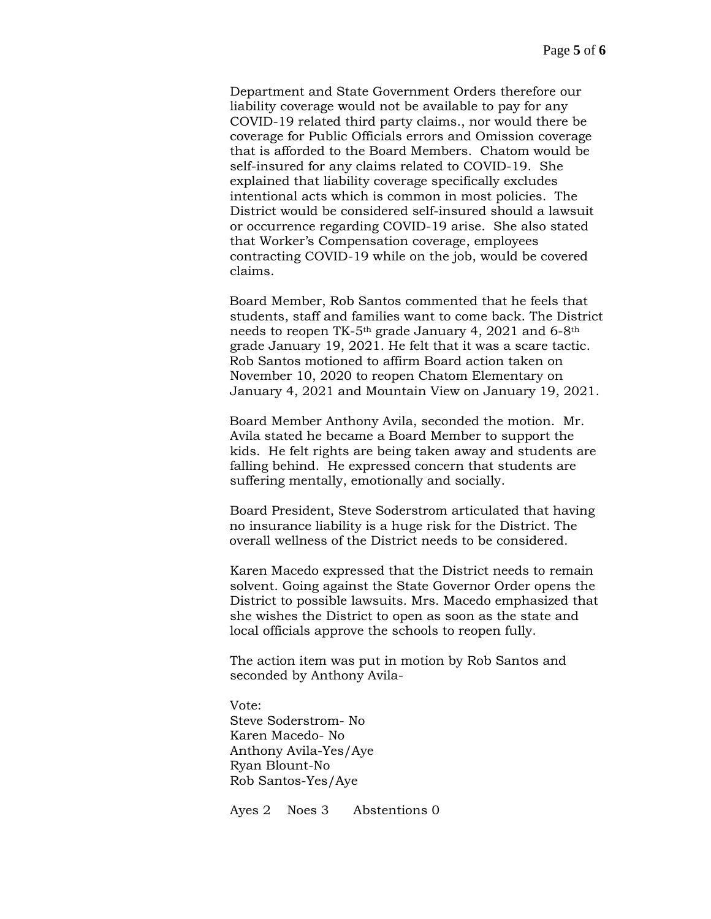Department and State Government Orders therefore our liability coverage would not be available to pay for any COVID-19 related third party claims., nor would there be coverage for Public Officials errors and Omission coverage that is afforded to the Board Members. Chatom would be self-insured for any claims related to COVID-19. She explained that liability coverage specifically excludes intentional acts which is common in most policies. The District would be considered self-insured should a lawsuit or occurrence regarding COVID-19 arise. She also stated that Worker's Compensation coverage, employees contracting COVID-19 while on the job, would be covered claims.

Board Member, Rob Santos commented that he feels that students, staff and families want to come back. The District needs to reopen TK-5th grade January 4, 2021 and 6-8th grade January 19, 2021. He felt that it was a scare tactic. Rob Santos motioned to affirm Board action taken on November 10, 2020 to reopen Chatom Elementary on January 4, 2021 and Mountain View on January 19, 2021.

Board Member Anthony Avila, seconded the motion. Mr. Avila stated he became a Board Member to support the kids. He felt rights are being taken away and students are falling behind. He expressed concern that students are suffering mentally, emotionally and socially.

Board President, Steve Soderstrom articulated that having no insurance liability is a huge risk for the District. The overall wellness of the District needs to be considered.

Karen Macedo expressed that the District needs to remain solvent. Going against the State Governor Order opens the District to possible lawsuits. Mrs. Macedo emphasized that she wishes the District to open as soon as the state and local officials approve the schools to reopen fully.

The action item was put in motion by Rob Santos and seconded by Anthony Avila-

Vote: Steve Soderstrom- No Karen Macedo- No Anthony Avila-Yes/Aye Ryan Blount-No Rob Santos-Yes/Aye

Ayes 2 Noes 3 Abstentions 0